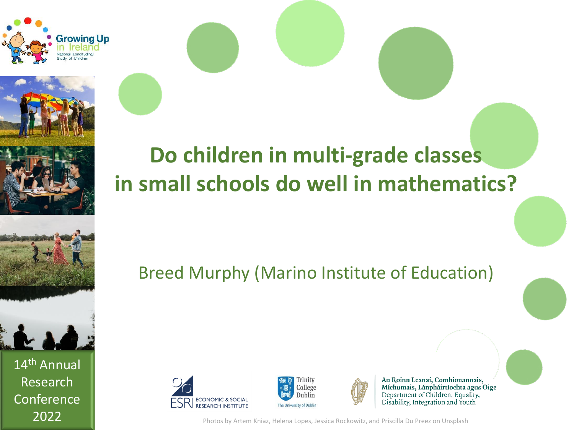





14th Annual Research **Conference** 

**Do children in multi-grade classes in small schools do well in mathematics?** 

Breed Murphy (Marino Institute of Education)







An Roinn Leanaí, Comhionannais, Míchumais, Lánpháirtíochta agus Óige Department of Children, Equality, Disability, Integration and Youth

2022 **Photos by Artem Kniaz, Helena Lopes, Jessica Rockowitz, and Priscilla Du Preez on Unsplash**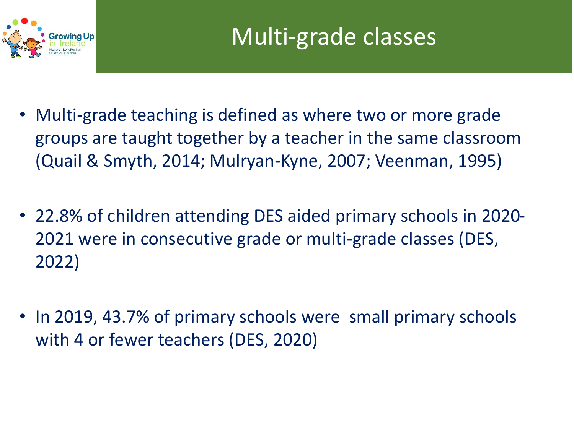

- Multi-grade teaching is defined as where two or more grade groups are taught together by a teacher in the same classroom (Quail & Smyth, 2014; Mulryan-Kyne, 2007; Veenman, 1995)
- 22.8% of children attending DES aided primary schools in 2020- 2021 were in consecutive grade or multi-grade classes (DES, 2022)
- In 2019, 43.7% of primary schools were small primary schools with 4 or fewer teachers (DES, 2020)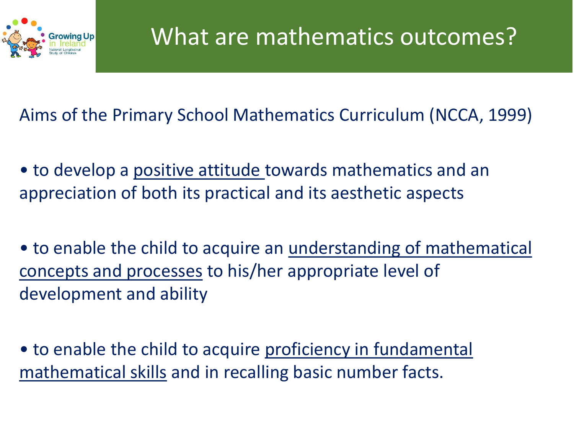

Aims of the Primary School Mathematics Curriculum (NCCA, 1999)

• to develop a positive attitude towards mathematics and an appreciation of both its practical and its aesthetic aspects

• to enable the child to acquire an <u>understanding of mathematical</u> concepts and processes to his/her appropriate level of development and ability

• to enable the child to acquire proficiency in fundamental mathematical skills and in recalling basic number facts.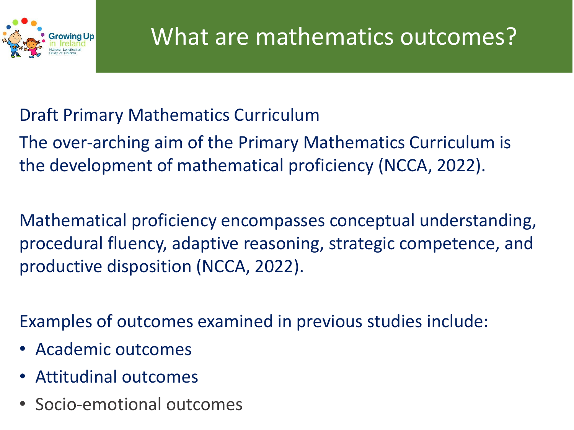

### Draft Primary Mathematics Curriculum

The over-arching aim of the Primary Mathematics Curriculum is the development of mathematical proficiency (NCCA, 2022).

Mathematical proficiency encompasses conceptual understanding, procedural fluency, adaptive reasoning, strategic competence, and productive disposition (NCCA, 2022).

Examples of outcomes examined in previous studies include:

- Academic outcomes
- Attitudinal outcomes
- Socio-emotional outcomes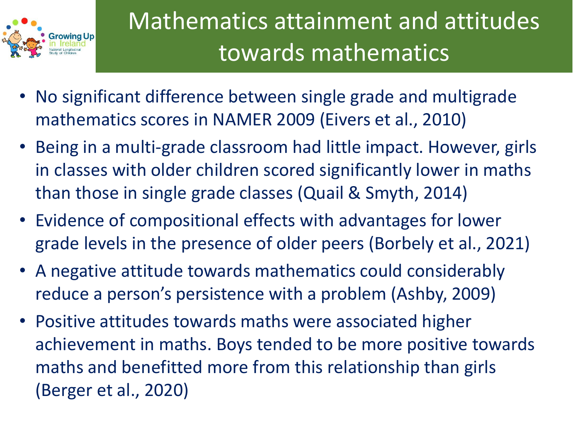

Mathematics attainment and attitudes towards mathematics

- No significant difference between single grade and multigrade mathematics scores in NAMER 2009 (Eivers et al., 2010)
- Being in a multi-grade classroom had little impact. However, girls in classes with older children scored significantly lower in maths than those in single grade classes (Quail & Smyth, 2014)
- Evidence of compositional effects with advantages for lower grade levels in the presence of older peers (Borbely et al., 2021)
- A negative attitude towards mathematics could considerably reduce a person's persistence with a problem (Ashby, 2009)
- Positive attitudes towards maths were associated higher achievement in maths. Boys tended to be more positive towards maths and benefitted more from this relationship than girls (Berger et al., 2020)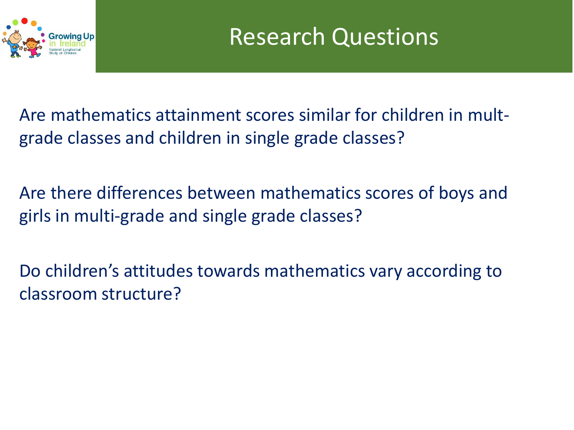

Are mathematics attainment scores similar for children in multgrade classes and children in single grade classes?

Are there differences between mathematics scores of boys and girls in multi-grade and single grade classes?

Do children's attitudes towards mathematics vary according to classroom structure?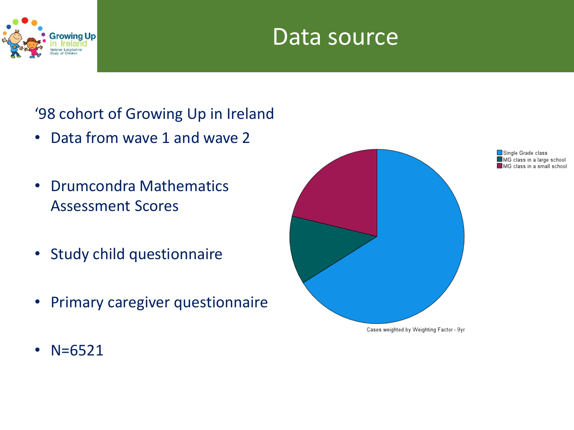

### Data source

### '98 cohort of Growing Up in Ireland

- Data from wave 1 and wave 2
- Drumcondra Mathematics Assessment Scores
- Study child questionnaire
- Primary caregiver questionnaire



Single Grade class  $\blacksquare$  MG class in a large school  $\blacksquare$  MG class in a small school

• N=6521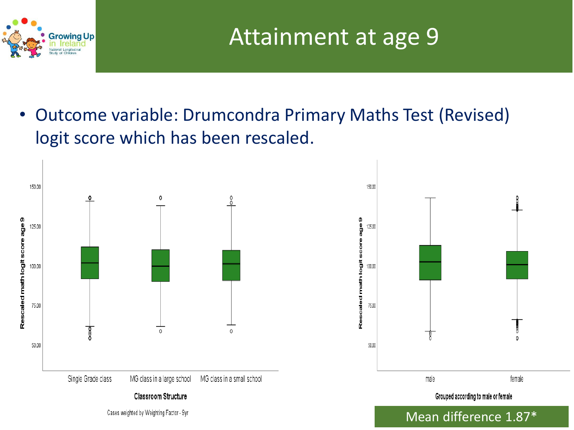

• Outcome variable: Drumcondra Primary Maths Test (Revised) logit score which has been rescaled.

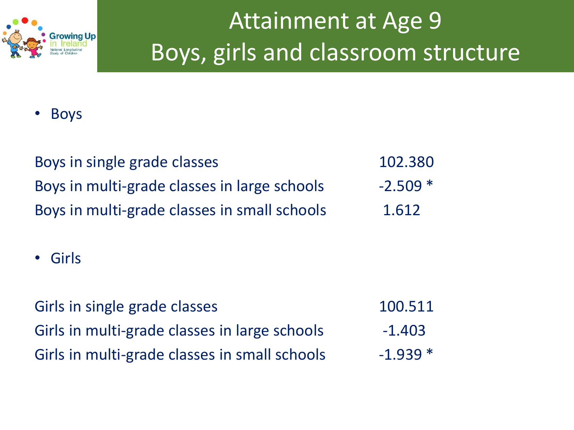

# Attainment at Age 9 Boys, girls and classroom structure

• Boys

| Boys in single grade classes                 | 102.380   |
|----------------------------------------------|-----------|
| Boys in multi-grade classes in large schools | $-2.509*$ |
| Boys in multi-grade classes in small schools | 1.612     |

• Girls

| Girls in single grade classes                 | 100.511   |
|-----------------------------------------------|-----------|
| Girls in multi-grade classes in large schools | $-1.403$  |
| Girls in multi-grade classes in small schools | $-1.939*$ |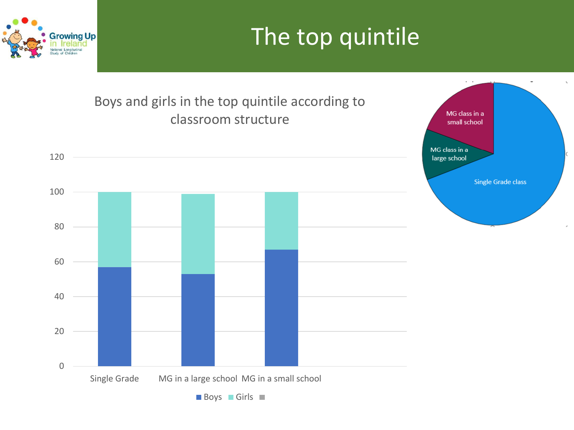### The top quintile



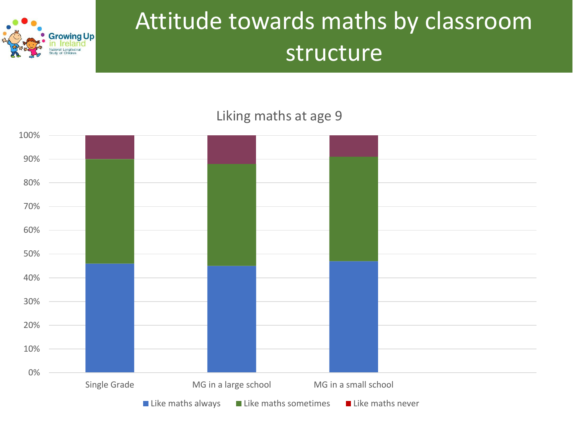

## Attitude towards maths by classroom structure

#### Liking maths at age 9

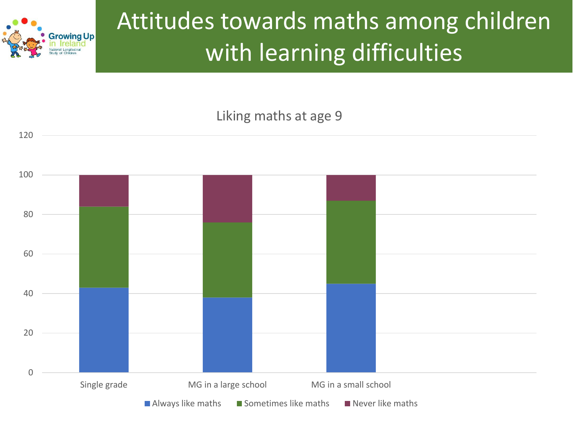

# Attitudes towards maths among children with learning difficulties

#### Liking maths at age 9

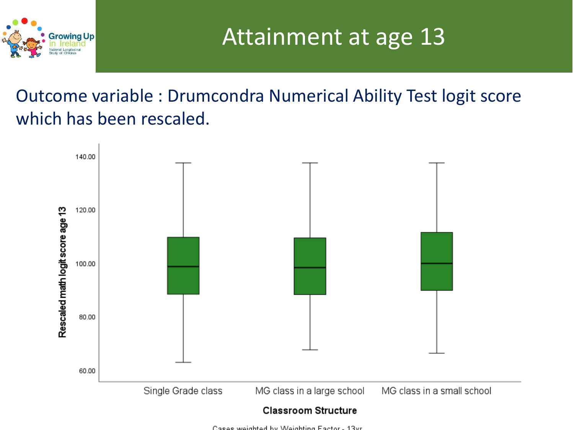

Attainment at age 13

Outcome variable : Drumcondra Numerical Ability Test logit score which has been rescaled.



Cases weighted by Weighting Easter, 13vr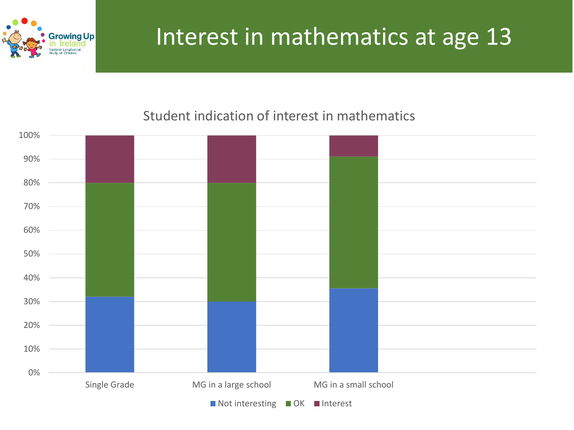

### Interest in mathematics at age 13

#### Student indication of interest in mathematics